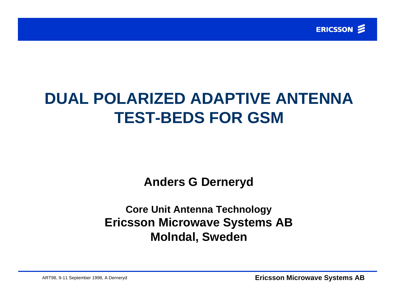

# **DUAL POLARIZED ADAPTIVE ANTENNA TEST-BEDS FOR GSM**

**Anders G Derneryd**

**Core Unit Antenna Technology Ericsson Microwave Systems AB Molndal, Sweden**

ART98, 9-11 September 1998, A Derneryd **Ericsson Microwave Systems AB**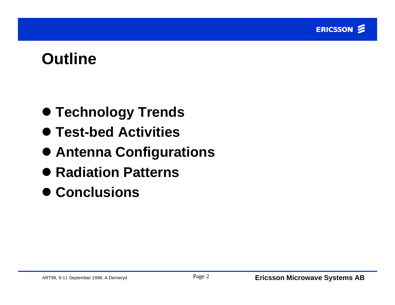# **Outline**

- $\bullet$  **Technology Trends**
- l **Test-bed Activities**
- $\bullet$  **Antenna Configurations**
- Radiation Patterns
- l **Conclusions**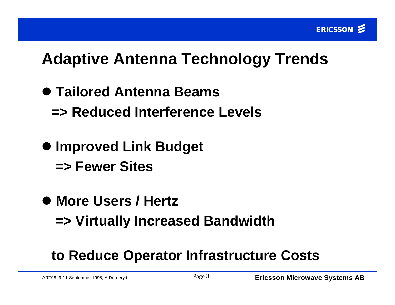# **Adaptive Antenna Technology Trends**

- l **Tailored Antenna Beams => Reduced Interference Levels**
- $\bullet$  **Improved Link Budget => Fewer Sites**
- l **More Users / Hertz => Virtually Increased Bandwidth**

### **to Reduce Operator Infrastructure Costs**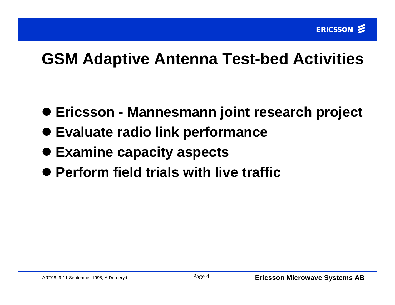# **GSM Adaptive Antenna Test-bed Activities**

- $\bullet$  **Ericsson Mannesmann joint research project**
- l **Evaluate radio link performance**
- l **Examine capacity aspects**
- **Perform field trials with live traffic**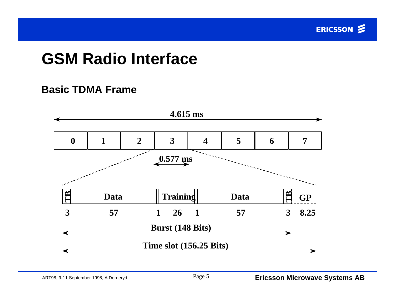

# **GSM Radio Interface**

#### **Basic TDMA Frame**

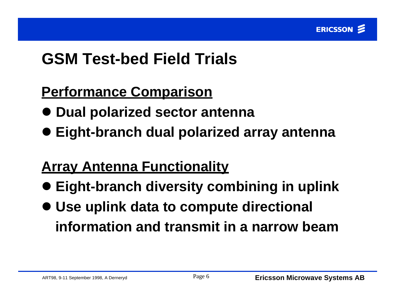

# **GSM Test-bed Field Trials**

#### **Performance Comparison**

- **Dual polarized sector antenna**
- l **Eight-branch dual polarized array antenna**

### **Array Antenna Functionality**

- **Eight-branch diversity combining in uplink**
- l **Use uplink data to compute directional information and transmit in a narrow beam**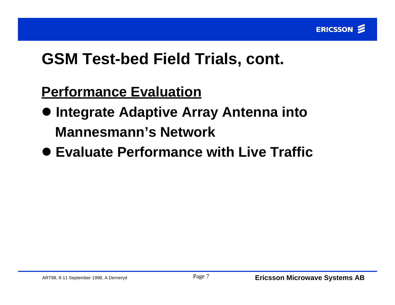# **GSM Test-bed Field Trials, cont.**

#### **Performance Evaluation**

- $\bullet$  **Integrate Adaptive Array Antenna into Mannesmann's Network**
- **Evaluate Performance with Live Traffic**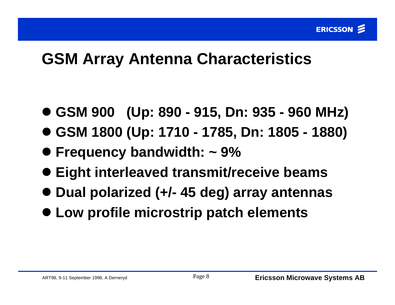# **GSM Array Antenna Characteristics**

- l **GSM 900 (Up: 890 915, Dn: 935 960 MHz)**
- l **GSM 1800 (Up: 1710 1785, Dn: 1805 1880)**
- l **Frequency bandwidth: ~ 9%**
- l **Eight interleaved transmit/receive beams**
- l **Dual polarized (+/- 45 deg) array antennas**
- $\bullet$  **Low profile microstrip patch elements**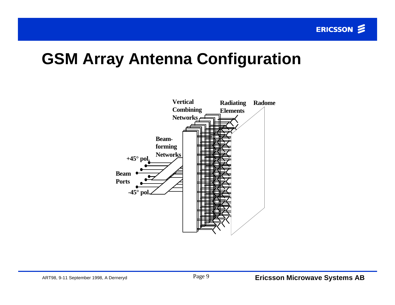#### **GSM Array Antenna Configuration**

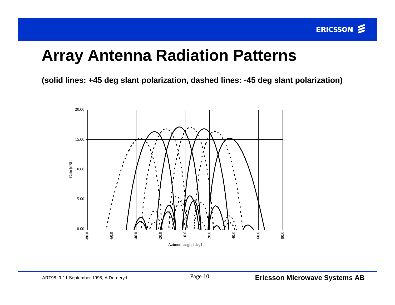### **Array Antenna Radiation Patterns**

**(solid lines: +45 deg slant polarization, dashed lines: -45 deg slant polarization)**

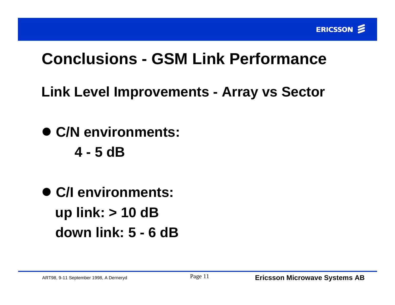# **Conclusions - GSM Link Performance**

**Link Level Improvements - Array vs Sector**

l **C/N environments:**

**4 - 5 dB**

l **C/I environments: up link: > 10 dB down link: 5 - 6 dB**